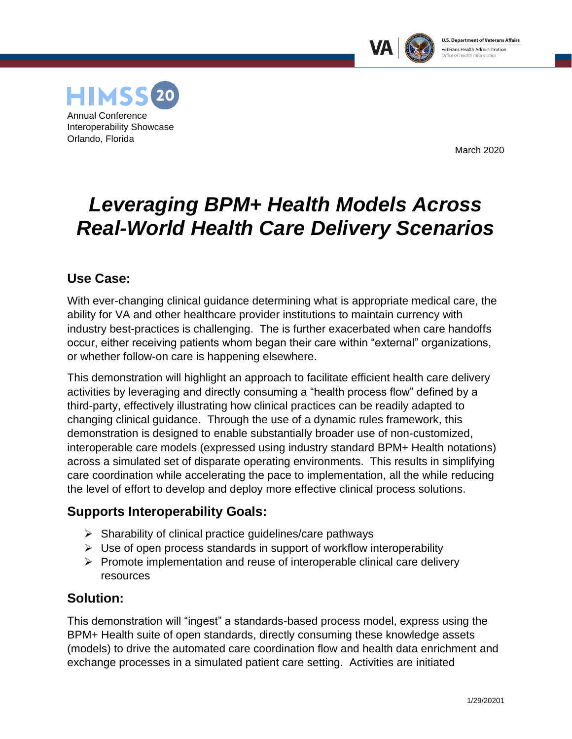



March 2020

# *Leveraging BPM+ Health Models Across Real-World Health Care Delivery Scenarios*

## **Use Case:**

With ever-changing clinical guidance determining what is appropriate medical care, the ability for VA and other healthcare provider institutions to maintain currency with industry best-practices is challenging. The is further exacerbated when care handoffs occur, either receiving patients whom began their care within "external" organizations, or whether follow-on care is happening elsewhere.

This demonstration will highlight an approach to facilitate efficient health care delivery activities by leveraging and directly consuming a "health process flow" defined by a third-party, effectively illustrating how clinical practices can be readily adapted to changing clinical guidance. Through the use of a dynamic rules framework, this demonstration is designed to enable substantially broader use of non-customized, interoperable care models (expressed using industry standard BPM+ Health notations) across a simulated set of disparate operating environments. This results in simplifying care coordination while accelerating the pace to implementation, all the while reducing the level of effort to develop and deploy more effective clinical process solutions.

# **Supports Interoperability Goals:**

- $\triangleright$  Sharability of clinical practice guidelines/care pathways
- ➢ Use of open process standards in support of workflow interoperability
- $\triangleright$  Promote implementation and reuse of interoperable clinical care delivery resources

## **Solution:**

This demonstration will "ingest" a standards-based process model, express using the BPM+ Health suite of open standards, directly consuming these knowledge assets (models) to drive the automated care coordination flow and health data enrichment and exchange processes in a simulated patient care setting. Activities are initiated